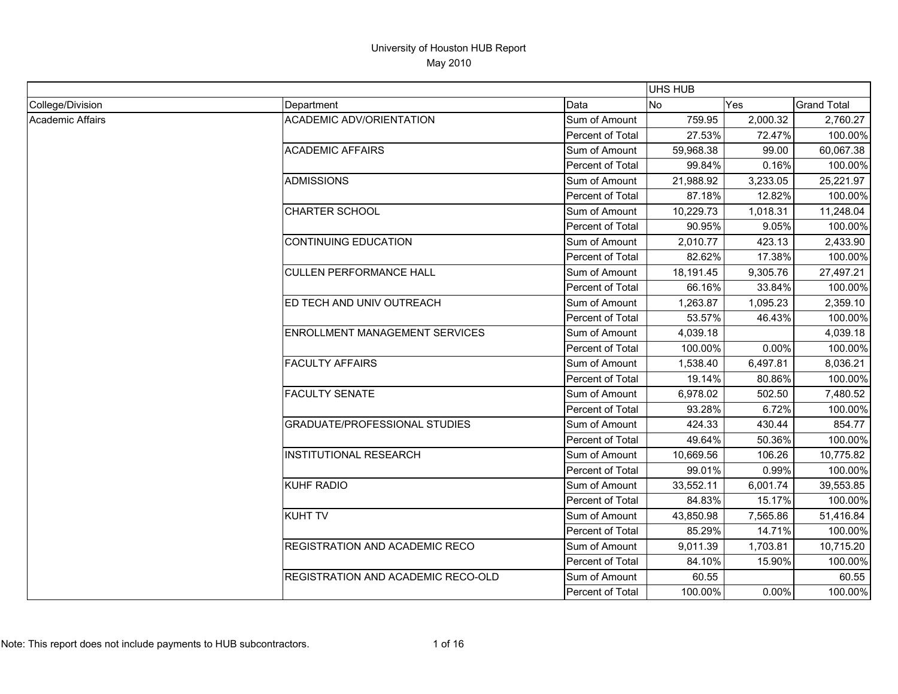|                  |                                           |                  | UHS HUB   |            |                    |
|------------------|-------------------------------------------|------------------|-----------|------------|--------------------|
| College/Division | Department                                | Data             | <b>No</b> | <b>Yes</b> | <b>Grand Total</b> |
| Academic Affairs | <b>ACADEMIC ADV/ORIENTATION</b>           | Sum of Amount    | 759.95    | 2,000.32   | 2,760.27           |
|                  |                                           | Percent of Total | 27.53%    | 72.47%     | 100.00%            |
|                  | <b>ACADEMIC AFFAIRS</b>                   | Sum of Amount    | 59,968.38 | 99.00      | 60,067.38          |
|                  |                                           | Percent of Total | 99.84%    | 0.16%      | 100.00%            |
|                  | ADMISSIONS                                | Sum of Amount    | 21,988.92 | 3,233.05   | 25,221.97          |
|                  |                                           | Percent of Total | 87.18%    | 12.82%     | 100.00%            |
|                  | <b>CHARTER SCHOOL</b>                     | Sum of Amount    | 10.229.73 | 1,018.31   | 11,248.04          |
|                  |                                           | Percent of Total | 90.95%    | 9.05%      | 100.00%            |
|                  | CONTINUING EDUCATION                      | Sum of Amount    | 2,010.77  | 423.13     | 2,433.90           |
|                  |                                           | Percent of Total | 82.62%    | 17.38%     | 100.00%            |
|                  | <b>CULLEN PERFORMANCE HALL</b>            | Sum of Amount    | 18,191.45 | 9,305.76   | 27,497.21          |
|                  |                                           | Percent of Total | 66.16%    | 33.84%     | 100.00%            |
|                  | ED TECH AND UNIV OUTREACH                 | Sum of Amount    | 1,263.87  | 1,095.23   | 2,359.10           |
|                  |                                           | Percent of Total | 53.57%    | 46.43%     | 100.00%            |
|                  | <b>ENROLLMENT MANAGEMENT SERVICES</b>     | Sum of Amount    | 4,039.18  |            | 4,039.18           |
|                  |                                           | Percent of Total | 100.00%   | $0.00\%$   | 100.00%            |
|                  | <b>FACULTY AFFAIRS</b>                    | Sum of Amount    | 1,538.40  | 6,497.81   | 8,036.21           |
|                  |                                           | Percent of Total | 19.14%    | 80.86%     | 100.00%            |
|                  | <b>FACULTY SENATE</b>                     | Sum of Amount    | 6,978.02  | 502.50     | 7,480.52           |
|                  |                                           | Percent of Total | 93.28%    | 6.72%      | 100.00%            |
|                  | <b>GRADUATE/PROFESSIONAL STUDIES</b>      | Sum of Amount    | 424.33    | 430.44     | 854.77             |
|                  |                                           | Percent of Total | 49.64%    | 50.36%     | 100.00%            |
|                  | <b>INSTITUTIONAL RESEARCH</b>             | Sum of Amount    | 10,669.56 | 106.26     | 10,775.82          |
|                  |                                           | Percent of Total | 99.01%    | 0.99%      | 100.00%            |
|                  | KUHF RADIO                                | Sum of Amount    | 33,552.11 | 6,001.74   | 39,553.85          |
|                  |                                           | Percent of Total | 84.83%    | 15.17%     | 100.00%            |
|                  | <b>KUHT TV</b>                            | Sum of Amount    | 43,850.98 | 7,565.86   | 51,416.84          |
|                  |                                           | Percent of Total | 85.29%    | 14.71%     | 100.00%            |
|                  | <b>REGISTRATION AND ACADEMIC RECO</b>     | Sum of Amount    | 9.011.39  | 1,703.81   | 10,715.20          |
|                  |                                           | Percent of Total | 84.10%    | 15.90%     | 100.00%            |
|                  | <b>REGISTRATION AND ACADEMIC RECO-OLD</b> | Sum of Amount    | 60.55     |            | 60.55              |
|                  |                                           | Percent of Total | 100.00%   | 0.00%      | 100.00%            |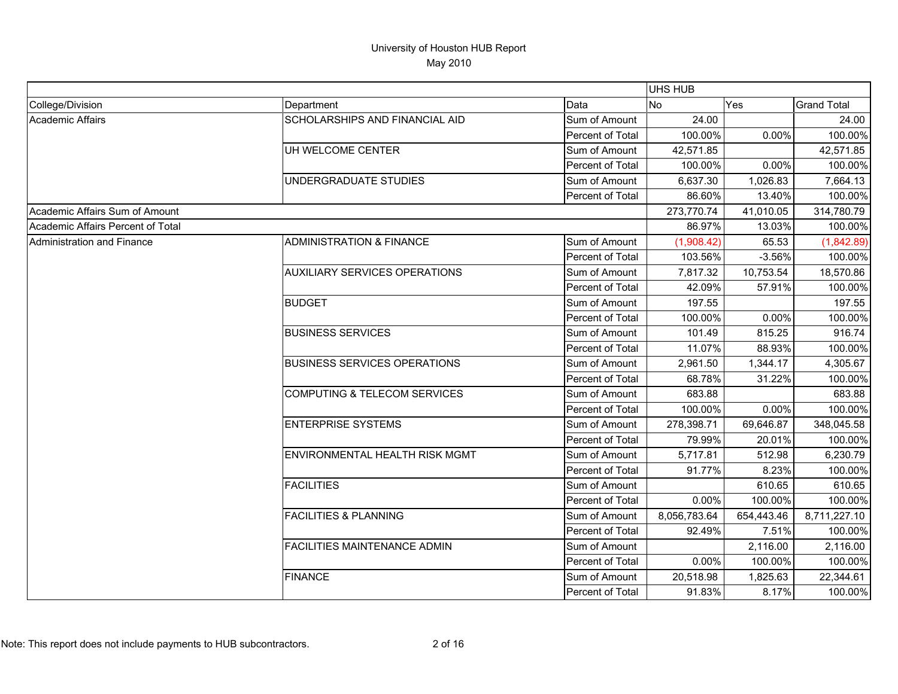|                                   |                                       |                  | <b>UHS HUB</b> |            |                    |
|-----------------------------------|---------------------------------------|------------------|----------------|------------|--------------------|
| College/Division                  | Department                            | Data             | <b>No</b>      | Yes        | <b>Grand Total</b> |
| Academic Affairs                  | <b>SCHOLARSHIPS AND FINANCIAL AID</b> | Sum of Amount    | 24.00          |            | 24.00              |
|                                   |                                       | Percent of Total | 100.00%        | 0.00%      | 100.00%            |
|                                   | UH WELCOME CENTER                     | Sum of Amount    | 42,571.85      |            | 42,571.85          |
|                                   |                                       | Percent of Total | 100.00%        | 0.00%      | 100.00%            |
|                                   | UNDERGRADUATE STUDIES                 | Sum of Amount    | 6,637.30       | 1,026.83   | 7,664.13           |
|                                   |                                       | Percent of Total | 86.60%         | 13.40%     | 100.00%            |
| Academic Affairs Sum of Amount    |                                       |                  | 273,770.74     | 41,010.05  | 314,780.79         |
| Academic Affairs Percent of Total |                                       |                  | 86.97%         | 13.03%     | 100.00%            |
| Administration and Finance        | <b>ADMINISTRATION &amp; FINANCE</b>   | Sum of Amount    | (1,908.42)     | 65.53      | (1,842.89)         |
|                                   |                                       | Percent of Total | 103.56%        | $-3.56%$   | 100.00%            |
|                                   | <b>AUXILIARY SERVICES OPERATIONS</b>  | Sum of Amount    | 7,817.32       | 10,753.54  | 18,570.86          |
|                                   |                                       | Percent of Total | 42.09%         | 57.91%     | 100.00%            |
|                                   | <b>BUDGET</b>                         | Sum of Amount    | 197.55         |            | 197.55             |
|                                   |                                       | Percent of Total | 100.00%        | 0.00%      | 100.00%            |
|                                   | <b>BUSINESS SERVICES</b>              | Sum of Amount    | 101.49         | 815.25     | 916.74             |
|                                   |                                       | Percent of Total | 11.07%         | 88.93%     | 100.00%            |
|                                   | <b>BUSINESS SERVICES OPERATIONS</b>   | Sum of Amount    | 2,961.50       | 1,344.17   | 4,305.67           |
|                                   |                                       | Percent of Total | 68.78%         | 31.22%     | 100.00%            |
|                                   | COMPUTING & TELECOM SERVICES          | Sum of Amount    | 683.88         |            | 683.88             |
|                                   |                                       | Percent of Total | 100.00%        | 0.00%      | 100.00%            |
|                                   | <b>ENTERPRISE SYSTEMS</b>             | Sum of Amount    | 278,398.71     | 69,646.87  | 348,045.58         |
|                                   |                                       | Percent of Total | 79.99%         | 20.01%     | 100.00%            |
|                                   | <b>ENVIRONMENTAL HEALTH RISK MGMT</b> | Sum of Amount    | 5,717.81       | 512.98     | 6,230.79           |
|                                   |                                       | Percent of Total | 91.77%         | 8.23%      | 100.00%            |
|                                   | <b>FACILITIES</b>                     | Sum of Amount    |                | 610.65     | 610.65             |
|                                   |                                       | Percent of Total | 0.00%          | 100.00%    | 100.00%            |
|                                   | <b>FACILITIES &amp; PLANNING</b>      | Sum of Amount    | 8,056,783.64   | 654,443.46 | 8,711,227.10       |
|                                   |                                       | Percent of Total | 92.49%         | 7.51%      | 100.00%            |
|                                   | <b>FACILITIES MAINTENANCE ADMIN</b>   | Sum of Amount    |                | 2,116.00   | 2,116.00           |
|                                   |                                       | Percent of Total | 0.00%          | 100.00%    | 100.00%            |
|                                   | <b>FINANCE</b>                        | Sum of Amount    | 20,518.98      | 1,825.63   | 22,344.61          |
|                                   |                                       | Percent of Total | 91.83%         | 8.17%      | 100.00%            |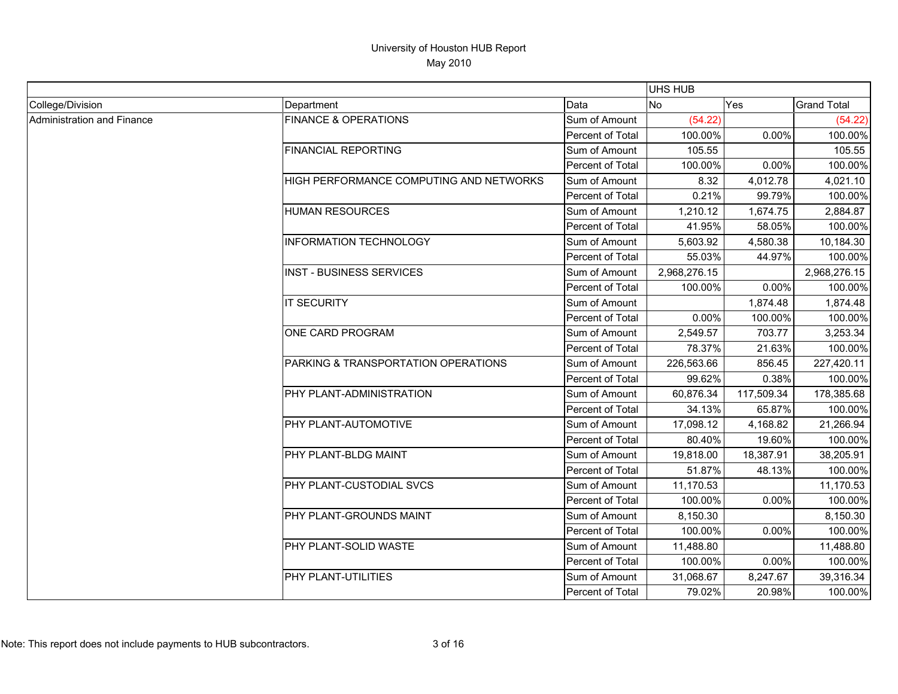|                            |                                         |                  | <b>UHS HUB</b> |            |                    |
|----------------------------|-----------------------------------------|------------------|----------------|------------|--------------------|
| College/Division           | Department                              | Data             | <b>No</b>      | Yes        | <b>Grand Total</b> |
| Administration and Finance | <b>FINANCE &amp; OPERATIONS</b>         | Sum of Amount    | (54.22)        |            | (54.22)            |
|                            |                                         | Percent of Total | 100.00%        | 0.00%      | 100.00%            |
|                            | <b>FINANCIAL REPORTING</b>              | Sum of Amount    | 105.55         |            | 105.55             |
|                            |                                         | Percent of Total | 100.00%        | 0.00%      | 100.00%            |
|                            | HIGH PERFORMANCE COMPUTING AND NETWORKS | Sum of Amount    | 8.32           | 4,012.78   | 4,021.10           |
|                            |                                         | Percent of Total | 0.21%          | 99.79%     | 100.00%            |
|                            | <b>HUMAN RESOURCES</b>                  | Sum of Amount    | 1,210.12       | 1,674.75   | 2,884.87           |
|                            |                                         | Percent of Total | 41.95%         | 58.05%     | 100.00%            |
|                            | <b>INFORMATION TECHNOLOGY</b>           | Sum of Amount    | 5,603.92       | 4,580.38   | 10,184.30          |
|                            |                                         | Percent of Total | 55.03%         | 44.97%     | 100.00%            |
|                            | <b>INST - BUSINESS SERVICES</b>         | Sum of Amount    | 2,968,276.15   |            | 2,968,276.15       |
|                            |                                         | Percent of Total | 100.00%        | 0.00%      | 100.00%            |
|                            | <b>IT SECURITY</b>                      | Sum of Amount    |                | 1,874.48   | 1,874.48           |
|                            |                                         | Percent of Total | 0.00%          | 100.00%    | 100.00%            |
|                            | ONE CARD PROGRAM                        | Sum of Amount    | 2,549.57       | 703.77     | 3,253.34           |
|                            |                                         | Percent of Total | 78.37%         | 21.63%     | 100.00%            |
|                            | PARKING & TRANSPORTATION OPERATIONS     | Sum of Amount    | 226,563.66     | 856.45     | 227,420.11         |
|                            |                                         | Percent of Total | 99.62%         | 0.38%      | 100.00%            |
|                            | PHY PLANT-ADMINISTRATION                | Sum of Amount    | 60,876.34      | 117,509.34 | 178,385.68         |
|                            |                                         | Percent of Total | 34.13%         | 65.87%     | 100.00%            |
|                            | PHY PLANT-AUTOMOTIVE                    | Sum of Amount    | 17,098.12      | 4,168.82   | 21,266.94          |
|                            |                                         | Percent of Total | 80.40%         | 19.60%     | 100.00%            |
|                            | PHY PLANT-BLDG MAINT                    | Sum of Amount    | 19,818.00      | 18,387.91  | 38,205.91          |
|                            |                                         | Percent of Total | 51.87%         | 48.13%     | 100.00%            |
|                            | PHY PLANT-CUSTODIAL SVCS                | Sum of Amount    | 11,170.53      |            | 11,170.53          |
|                            |                                         | Percent of Total | 100.00%        | 0.00%      | 100.00%            |
|                            | PHY PLANT-GROUNDS MAINT                 | Sum of Amount    | 8,150.30       |            | 8,150.30           |
|                            |                                         | Percent of Total | 100.00%        | 0.00%      | 100.00%            |
|                            | PHY PLANT-SOLID WASTE                   | Sum of Amount    | 11,488.80      |            | 11,488.80          |
|                            |                                         | Percent of Total | 100.00%        | 0.00%      | 100.00%            |
|                            | PHY PLANT-UTILITIES                     | Sum of Amount    | 31,068.67      | 8,247.67   | 39,316.34          |
|                            |                                         | Percent of Total | 79.02%         | 20.98%     | 100.00%            |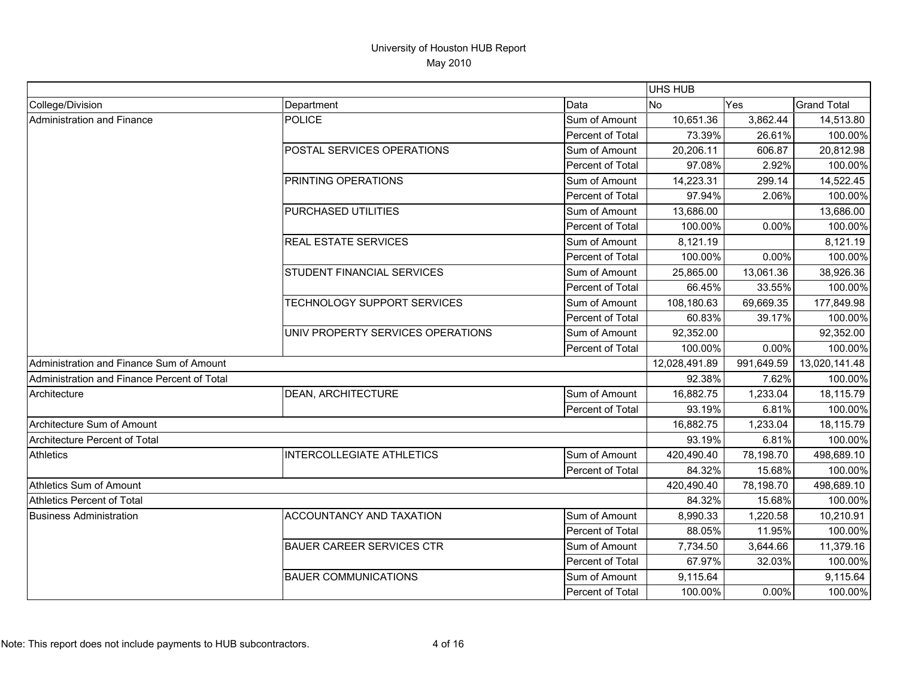|                                             |                                   |                         | <b>UHS HUB</b> |            |                    |
|---------------------------------------------|-----------------------------------|-------------------------|----------------|------------|--------------------|
| College/Division                            | Department                        | Data                    | <b>No</b>      | <b>Yes</b> | <b>Grand Total</b> |
| Administration and Finance                  | <b>POLICE</b>                     | Sum of Amount           | 10,651.36      | 3,862.44   | 14,513.80          |
|                                             |                                   | Percent of Total        | 73.39%         | 26.61%     | 100.00%            |
|                                             | POSTAL SERVICES OPERATIONS        | Sum of Amount           | 20,206.11      | 606.87     | 20,812.98          |
|                                             |                                   | Percent of Total        | 97.08%         | 2.92%      | 100.00%            |
|                                             | PRINTING OPERATIONS               | Sum of Amount           | 14,223.31      | 299.14     | 14,522.45          |
|                                             |                                   | Percent of Total        | 97.94%         | 2.06%      | 100.00%            |
|                                             | <b>PURCHASED UTILITIES</b>        | Sum of Amount           | 13,686.00      |            | 13,686.00          |
|                                             |                                   | <b>Percent of Total</b> | 100.00%        | 0.00%      | 100.00%            |
|                                             | <b>REAL ESTATE SERVICES</b>       | Sum of Amount           | 8,121.19       |            | 8,121.19           |
|                                             |                                   | Percent of Total        | 100.00%        | 0.00%      | 100.00%            |
|                                             | <b>STUDENT FINANCIAL SERVICES</b> | Sum of Amount           | 25.865.00      | 13,061.36  | 38,926.36          |
|                                             |                                   | Percent of Total        | 66.45%         | 33.55%     | 100.00%            |
|                                             | TECHNOLOGY SUPPORT SERVICES       | Sum of Amount           | 108,180.63     | 69,669.35  | 177,849.98         |
|                                             |                                   | Percent of Total        | 60.83%         | 39.17%     | 100.00%            |
|                                             | UNIV PROPERTY SERVICES OPERATIONS | Sum of Amount           | 92,352.00      |            | 92,352.00          |
|                                             |                                   | Percent of Total        | 100.00%        | 0.00%      | 100.00%            |
| Administration and Finance Sum of Amount    |                                   |                         | 12,028,491.89  | 991,649.59 | 13,020,141.48      |
| Administration and Finance Percent of Total |                                   |                         | 92.38%         | 7.62%      | 100.00%            |
| Architecture                                | DEAN, ARCHITECTURE                | Sum of Amount           | 16,882.75      | 1,233.04   | 18.115.79          |
|                                             |                                   | <b>Percent of Total</b> | 93.19%         | 6.81%      | 100.00%            |
| Architecture Sum of Amount                  |                                   |                         | 16,882.75      | 1,233.04   | 18,115.79          |
| <b>Architecture Percent of Total</b>        |                                   |                         | 93.19%         | 6.81%      | 100.00%            |
| <b>Athletics</b>                            | <b>INTERCOLLEGIATE ATHLETICS</b>  | Sum of Amount           | 420,490.40     | 78,198.70  | 498,689.10         |
|                                             |                                   | Percent of Total        | 84.32%         | 15.68%     | 100.00%            |
| Athletics Sum of Amount                     |                                   |                         | 420,490.40     | 78,198.70  | 498,689.10         |
| <b>Athletics Percent of Total</b>           |                                   |                         | 84.32%         | 15.68%     | 100.00%            |
| <b>Business Administration</b>              | ACCOUNTANCY AND TAXATION          | Sum of Amount           | 8,990.33       | 1,220.58   | 10,210.91          |
|                                             |                                   | Percent of Total        | 88.05%         | 11.95%     | 100.00%            |
|                                             | <b>BAUER CAREER SERVICES CTR</b>  | Sum of Amount           | 7,734.50       | 3,644.66   | 11,379.16          |
|                                             |                                   | <b>Percent of Total</b> | 67.97%         | 32.03%     | 100.00%            |
|                                             | <b>BAUER COMMUNICATIONS</b>       | Sum of Amount           | 9,115.64       |            | 9,115.64           |
|                                             |                                   | Percent of Total        | 100.00%        | 0.00%      | 100.00%            |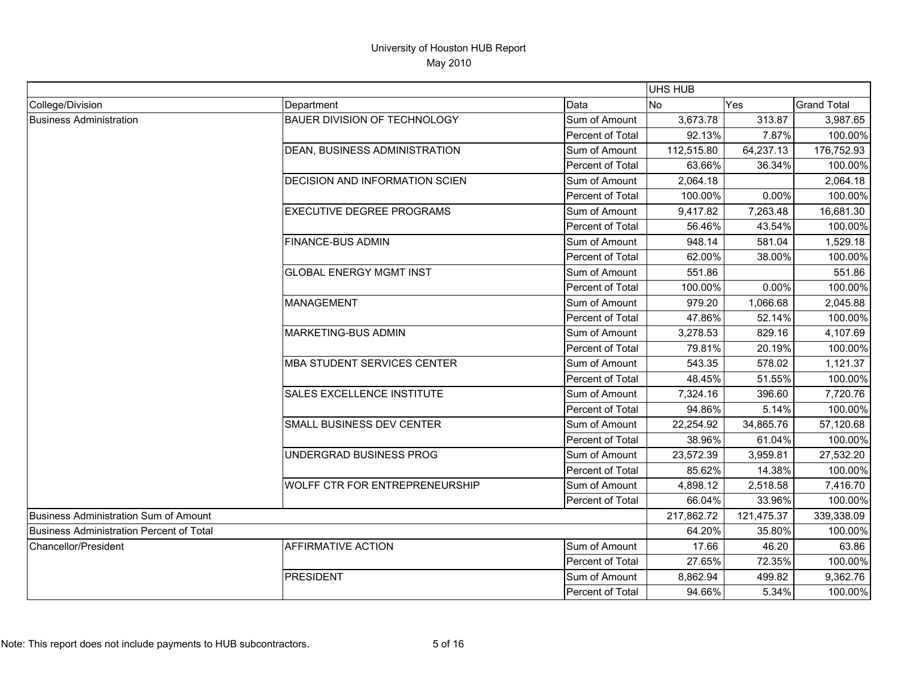|                                          |                                       |                  | <b>UHS HUB</b> |            |                    |
|------------------------------------------|---------------------------------------|------------------|----------------|------------|--------------------|
| College/Division                         | Department                            | Data             | No             | Yes        | <b>Grand Total</b> |
| <b>Business Administration</b>           | <b>BAUER DIVISION OF TECHNOLOGY</b>   | Sum of Amount    | 3,673.78       | 313.87     | 3,987.65           |
|                                          |                                       | Percent of Total | 92.13%         | 7.87%      | 100.00%            |
|                                          | DEAN, BUSINESS ADMINISTRATION         | Sum of Amount    | 112,515.80     | 64,237.13  | 176,752.93         |
|                                          |                                       | Percent of Total | 63.66%         | 36.34%     | 100.00%            |
|                                          | DECISION AND INFORMATION SCIEN        | Sum of Amount    | 2,064.18       |            | 2,064.18           |
|                                          |                                       | Percent of Total | 100.00%        | 0.00%      | 100.00%            |
|                                          | <b>EXECUTIVE DEGREE PROGRAMS</b>      | Sum of Amount    | 9,417.82       | 7,263.48   | 16,681.30          |
|                                          |                                       | Percent of Total | 56.46%         | 43.54%     | 100.00%            |
|                                          | <b>FINANCE-BUS ADMIN</b>              | Sum of Amount    | 948.14         | 581.04     | 1,529.18           |
|                                          |                                       | Percent of Total | 62.00%         | 38.00%     | 100.00%            |
|                                          | <b>GLOBAL ENERGY MGMT INST</b>        | Sum of Amount    | 551.86         |            | 551.86             |
|                                          |                                       | Percent of Total | 100.00%        | 0.00%      | 100.00%            |
|                                          | <b>MANAGEMENT</b>                     | Sum of Amount    | 979.20         | 1,066.68   | 2,045.88           |
|                                          |                                       | Percent of Total | 47.86%         | 52.14%     | 100.00%            |
|                                          | MARKETING-BUS ADMIN                   | Sum of Amount    | 3,278.53       | 829.16     | 4,107.69           |
|                                          |                                       | Percent of Total | 79.81%         | 20.19%     | 100.00%            |
|                                          | <b>MBA STUDENT SERVICES CENTER</b>    | Sum of Amount    | 543.35         | 578.02     | 1,121.37           |
|                                          |                                       | Percent of Total | 48.45%         | 51.55%     | 100.00%            |
|                                          | SALES EXCELLENCE INSTITUTE            | Sum of Amount    | 7,324.16       | 396.60     | 7,720.76           |
|                                          |                                       | Percent of Total | 94.86%         | 5.14%      | 100.00%            |
|                                          | SMALL BUSINESS DEV CENTER             | Sum of Amount    | 22,254.92      | 34,865.76  | 57,120.68          |
|                                          |                                       | Percent of Total | 38.96%         | 61.04%     | 100.00%            |
|                                          | UNDERGRAD BUSINESS PROG               | Sum of Amount    | 23,572.39      | 3,959.81   | 27,532.20          |
|                                          |                                       | Percent of Total | 85.62%         | 14.38%     | 100.00%            |
|                                          | <b>WOLFF CTR FOR ENTREPRENEURSHIP</b> | Sum of Amount    | 4,898.12       | 2,518.58   | 7,416.70           |
|                                          |                                       | Percent of Total | 66.04%         | 33.96%     | 100.00%            |
| Business Administration Sum of Amount    |                                       |                  | 217,862.72     | 121,475.37 | 339,338.09         |
| Business Administration Percent of Total |                                       |                  | 64.20%         | 35.80%     | 100.00%            |
| Chancellor/President                     | <b>AFFIRMATIVE ACTION</b>             | Sum of Amount    | 17.66          | 46.20      | 63.86              |
|                                          |                                       | Percent of Total | 27.65%         | 72.35%     | 100.00%            |
|                                          | <b>PRESIDENT</b>                      | Sum of Amount    | 8,862.94       | 499.82     | 9,362.76           |
|                                          |                                       | Percent of Total | 94.66%         | 5.34%      | 100.00%            |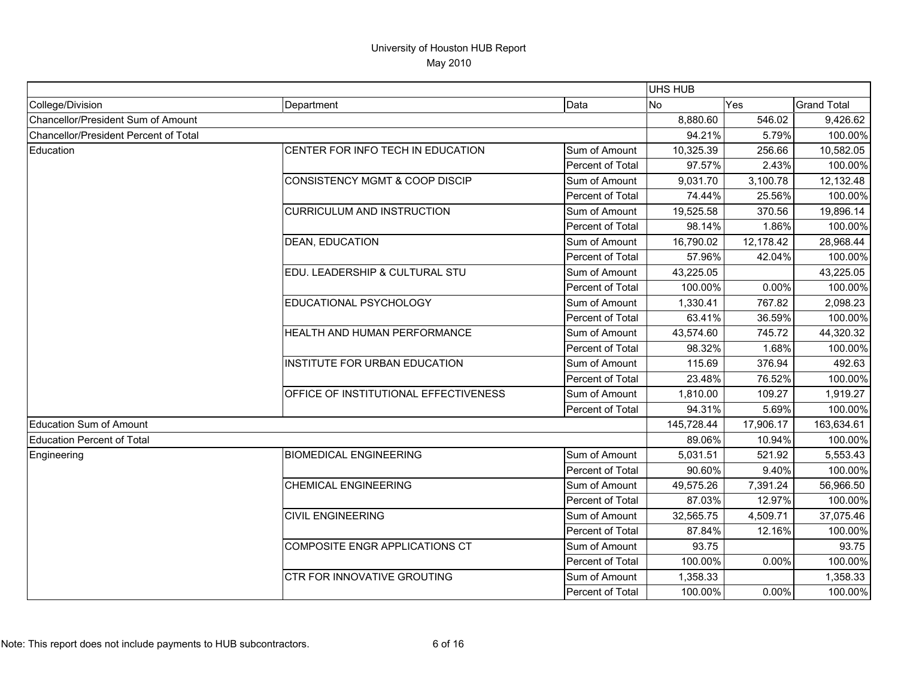|                                       |                                           |                  | UHS HUB    |           |                    |
|---------------------------------------|-------------------------------------------|------------------|------------|-----------|--------------------|
| College/Division                      | Department                                | Data             | <b>No</b>  | Yes       | <b>Grand Total</b> |
| Chancellor/President Sum of Amount    |                                           |                  | 8,880.60   | 546.02    | 9,426.62           |
| Chancellor/President Percent of Total |                                           | 94.21%           | 5.79%      | 100.00%   |                    |
| Education                             | CENTER FOR INFO TECH IN EDUCATION         | Sum of Amount    | 10,325.39  | 256.66    | 10,582.05          |
|                                       |                                           | Percent of Total | 97.57%     | 2.43%     | 100.00%            |
|                                       | <b>CONSISTENCY MGMT &amp; COOP DISCIP</b> | Sum of Amount    | 9,031.70   | 3,100.78  | 12,132.48          |
|                                       |                                           | Percent of Total | 74.44%     | 25.56%    | 100.00%            |
|                                       | <b>CURRICULUM AND INSTRUCTION</b>         | Sum of Amount    | 19,525.58  | 370.56    | 19,896.14          |
|                                       |                                           | Percent of Total | 98.14%     | 1.86%     | 100.00%            |
|                                       | <b>DEAN, EDUCATION</b>                    | Sum of Amount    | 16,790.02  | 12,178.42 | 28,968.44          |
|                                       |                                           | Percent of Total | 57.96%     | 42.04%    | 100.00%            |
|                                       | EDU. LEADERSHIP & CULTURAL STU            | Sum of Amount    | 43,225.05  |           | 43,225.05          |
|                                       |                                           | Percent of Total | 100.00%    | 0.00%     | 100.00%            |
|                                       | EDUCATIONAL PSYCHOLOGY                    | Sum of Amount    | 1,330.41   | 767.82    | 2,098.23           |
|                                       |                                           | Percent of Total | 63.41%     | 36.59%    | 100.00%            |
|                                       | HEALTH AND HUMAN PERFORMANCE              | Sum of Amount    | 43,574.60  | 745.72    | 44,320.32          |
|                                       |                                           | Percent of Total | 98.32%     | 1.68%     | 100.00%            |
|                                       | INSTITUTE FOR URBAN EDUCATION             | Sum of Amount    | 115.69     | 376.94    | 492.63             |
|                                       |                                           | Percent of Total | 23.48%     | 76.52%    | 100.00%            |
|                                       | OFFICE OF INSTITUTIONAL EFFECTIVENESS     | Sum of Amount    | 1,810.00   | 109.27    | 1,919.27           |
|                                       |                                           | Percent of Total | 94.31%     | 5.69%     | 100.00%            |
| Education Sum of Amount               |                                           |                  | 145,728.44 | 17,906.17 | 163,634.61         |
| Education Percent of Total            |                                           |                  | 89.06%     | 10.94%    | 100.00%            |
| Engineering                           | <b>BIOMEDICAL ENGINEERING</b>             | Sum of Amount    | 5,031.51   | 521.92    | 5,553.43           |
|                                       |                                           | Percent of Total | 90.60%     | 9.40%     | 100.00%            |
|                                       | <b>CHEMICAL ENGINEERING</b>               | Sum of Amount    | 49,575.26  | 7,391.24  | 56,966.50          |
|                                       |                                           | Percent of Total | 87.03%     | 12.97%    | 100.00%            |
|                                       | <b>CIVIL ENGINEERING</b>                  | Sum of Amount    | 32,565.75  | 4,509.71  | 37,075.46          |
|                                       |                                           | Percent of Total | 87.84%     | 12.16%    | 100.00%            |
|                                       | COMPOSITE ENGR APPLICATIONS CT            | Sum of Amount    | 93.75      |           | 93.75              |
|                                       |                                           | Percent of Total | 100.00%    | 0.00%     | 100.00%            |
|                                       | <b>CTR FOR INNOVATIVE GROUTING</b>        | Sum of Amount    | 1,358.33   |           | 1,358.33           |
|                                       |                                           | Percent of Total | 100.00%    | 0.00%     | 100.00%            |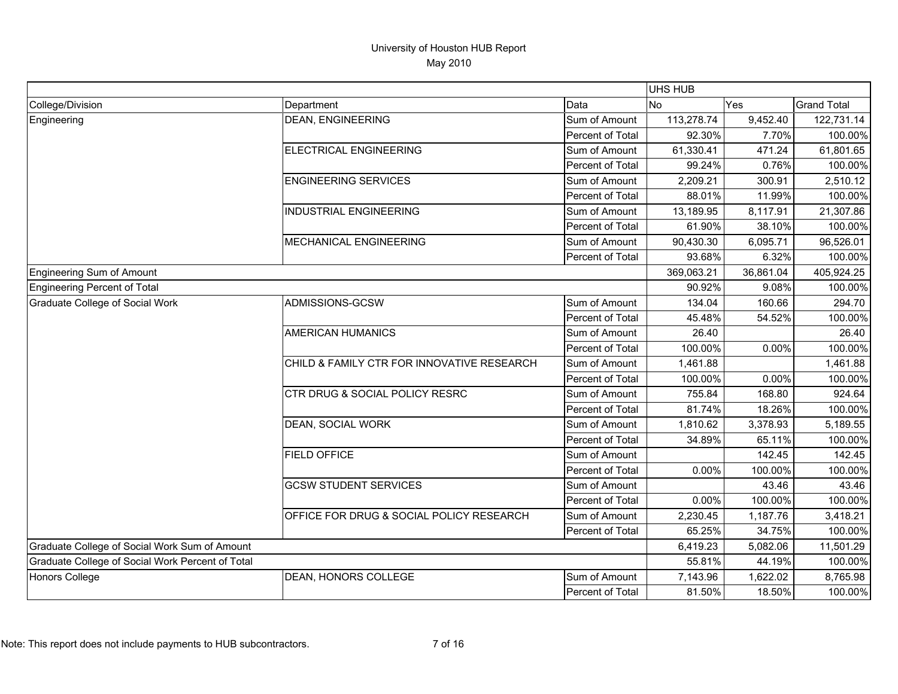|                                                  |                                            |                         | UHS HUB    |           |                    |
|--------------------------------------------------|--------------------------------------------|-------------------------|------------|-----------|--------------------|
| College/Division                                 | Department                                 | Data                    | No.        | Yes       | <b>Grand Total</b> |
| Engineering                                      | <b>DEAN, ENGINEERING</b>                   | Sum of Amount           | 113,278.74 | 9,452.40  | 122,731.14         |
|                                                  |                                            | <b>Percent of Total</b> | 92.30%     | 7.70%     | 100.00%            |
|                                                  | ELECTRICAL ENGINEERING                     | Sum of Amount           | 61,330.41  | 471.24    | 61,801.65          |
|                                                  |                                            | Percent of Total        | 99.24%     | 0.76%     | 100.00%            |
|                                                  | <b>ENGINEERING SERVICES</b>                | Sum of Amount           | 2,209.21   | 300.91    | 2,510.12           |
|                                                  |                                            | Percent of Total        | 88.01%     | 11.99%    | 100.00%            |
|                                                  | <b>INDUSTRIAL ENGINEERING</b>              | Sum of Amount           | 13,189.95  | 8,117.91  | 21,307.86          |
|                                                  |                                            | Percent of Total        | 61.90%     | 38.10%    | 100.00%            |
|                                                  | <b>MECHANICAL ENGINEERING</b>              | Sum of Amount           | 90,430.30  | 6,095.71  | 96,526.01          |
|                                                  |                                            | Percent of Total        | 93.68%     | 6.32%     | 100.00%            |
| Engineering Sum of Amount                        |                                            |                         | 369,063.21 | 36,861.04 | 405,924.25         |
| Engineering Percent of Total                     |                                            |                         | 90.92%     | 9.08%     | 100.00%            |
| Graduate College of Social Work                  | ADMISSIONS-GCSW                            | Sum of Amount           | 134.04     | 160.66    | 294.70             |
|                                                  |                                            | Percent of Total        | 45.48%     | 54.52%    | 100.00%            |
|                                                  | <b>AMERICAN HUMANICS</b>                   | Sum of Amount           | 26.40      |           | 26.40              |
|                                                  |                                            | Percent of Total        | 100.00%    | 0.00%     | 100.00%            |
|                                                  | CHILD & FAMILY CTR FOR INNOVATIVE RESEARCH | Sum of Amount           | 1,461.88   |           | 1,461.88           |
|                                                  |                                            | Percent of Total        | 100.00%    | 0.00%     | 100.00%            |
|                                                  | <b>CTR DRUG &amp; SOCIAL POLICY RESRC</b>  | Sum of Amount           | 755.84     | 168.80    | 924.64             |
|                                                  |                                            | Percent of Total        | 81.74%     | 18.26%    | 100.00%            |
|                                                  | DEAN, SOCIAL WORK                          | Sum of Amount           | 1,810.62   | 3,378.93  | 5,189.55           |
|                                                  |                                            | Percent of Total        | 34.89%     | 65.11%    | 100.00%            |
|                                                  | <b>FIELD OFFICE</b>                        | Sum of Amount           |            | 142.45    | 142.45             |
|                                                  |                                            | Percent of Total        | 0.00%      | 100.00%   | 100.00%            |
|                                                  | <b>GCSW STUDENT SERVICES</b>               | Sum of Amount           |            | 43.46     | 43.46              |
|                                                  |                                            | Percent of Total        | 0.00%      | 100.00%   | 100.00%            |
|                                                  | OFFICE FOR DRUG & SOCIAL POLICY RESEARCH   | Sum of Amount           | 2,230.45   | 1,187.76  | 3,418.21           |
|                                                  |                                            | Percent of Total        | 65.25%     | 34.75%    | 100.00%            |
| Graduate College of Social Work Sum of Amount    |                                            |                         | 6,419.23   | 5,082.06  | 11,501.29          |
| Graduate College of Social Work Percent of Total |                                            |                         | 55.81%     | 44.19%    | 100.00%            |
| <b>Honors College</b>                            | DEAN, HONORS COLLEGE                       | Sum of Amount           | 7,143.96   | 1,622.02  | 8,765.98           |
|                                                  |                                            | <b>Percent of Total</b> | 81.50%     | 18.50%    | 100.00%            |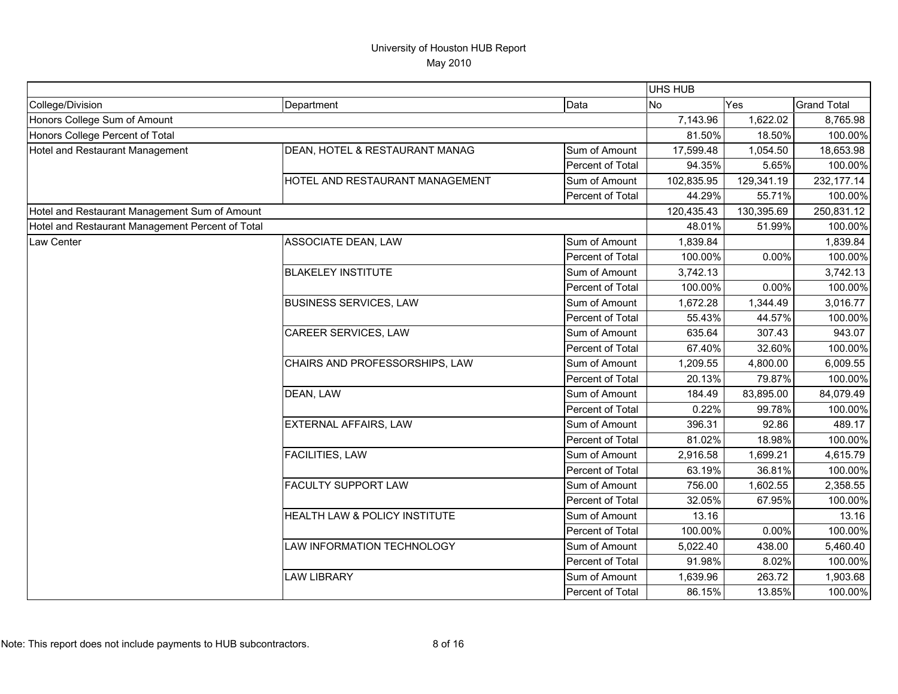|                                                  |                                 |                  | UHS HUB    |            |                    |
|--------------------------------------------------|---------------------------------|------------------|------------|------------|--------------------|
| College/Division                                 | Department                      | Data             | <b>No</b>  | <b>Yes</b> | <b>Grand Total</b> |
| Honors College Sum of Amount                     |                                 |                  | 7,143.96   | 1,622.02   | 8,765.98           |
| Honors College Percent of Total                  |                                 |                  | 81.50%     | 18.50%     | 100.00%            |
| Hotel and Restaurant Management                  | DEAN, HOTEL & RESTAURANT MANAG  | Sum of Amount    | 17,599.48  | 1,054.50   | 18,653.98          |
|                                                  |                                 | Percent of Total | 94.35%     | 5.65%      | 100.00%            |
|                                                  | HOTEL AND RESTAURANT MANAGEMENT | Sum of Amount    | 102,835.95 | 129,341.19 | 232,177.14         |
|                                                  |                                 | Percent of Total | 44.29%     | 55.71%     | 100.00%            |
| Hotel and Restaurant Management Sum of Amount    |                                 |                  | 120,435.43 | 130,395.69 | 250,831.12         |
| Hotel and Restaurant Management Percent of Total |                                 |                  | 48.01%     | 51.99%     | 100.00%            |
| Law Center                                       | ASSOCIATE DEAN, LAW             | Sum of Amount    | 1,839.84   |            | 1,839.84           |
|                                                  |                                 | Percent of Total | 100.00%    | 0.00%      | 100.00%            |
|                                                  | <b>BLAKELEY INSTITUTE</b>       | Sum of Amount    | 3,742.13   |            | 3,742.13           |
|                                                  |                                 | Percent of Total | 100.00%    | 0.00%      | 100.00%            |
|                                                  | <b>BUSINESS SERVICES, LAW</b>   | Sum of Amount    | 1,672.28   | 1,344.49   | 3,016.77           |
|                                                  |                                 | Percent of Total | 55.43%     | 44.57%     | 100.00%            |
|                                                  | CAREER SERVICES, LAW            | Sum of Amount    | 635.64     | 307.43     | 943.07             |
|                                                  |                                 | Percent of Total | 67.40%     | 32.60%     | 100.00%            |
|                                                  | CHAIRS AND PROFESSORSHIPS, LAW  | Sum of Amount    | 1,209.55   | 4,800.00   | 6,009.55           |
|                                                  |                                 | Percent of Total | 20.13%     | 79.87%     | 100.00%            |
|                                                  | DEAN, LAW                       | Sum of Amount    | 184.49     | 83,895.00  | 84,079.49          |
|                                                  |                                 | Percent of Total | 0.22%      | 99.78%     | 100.00%            |
|                                                  | EXTERNAL AFFAIRS, LAW           | Sum of Amount    | 396.31     | 92.86      | 489.17             |
|                                                  |                                 | Percent of Total | 81.02%     | 18.98%     | 100.00%            |
|                                                  | <b>FACILITIES, LAW</b>          | Sum of Amount    | 2,916.58   | 1,699.21   | 4,615.79           |
|                                                  |                                 | Percent of Total | 63.19%     | 36.81%     | 100.00%            |
|                                                  | <b>FACULTY SUPPORT LAW</b>      | Sum of Amount    | 756.00     | 1,602.55   | 2,358.55           |
|                                                  |                                 | Percent of Total | 32.05%     | 67.95%     | 100.00%            |
|                                                  | HEALTH LAW & POLICY INSTITUTE   | Sum of Amount    | 13.16      |            | 13.16              |
|                                                  |                                 | Percent of Total | 100.00%    | 0.00%      | 100.00%            |
|                                                  | LAW INFORMATION TECHNOLOGY      | Sum of Amount    | 5,022.40   | 438.00     | 5,460.40           |
|                                                  |                                 | Percent of Total | 91.98%     | 8.02%      | 100.00%            |
|                                                  | <b>LAW LIBRARY</b>              | Sum of Amount    | 1,639.96   | 263.72     | 1,903.68           |
|                                                  |                                 | Percent of Total | 86.15%     | 13.85%     | 100.00%            |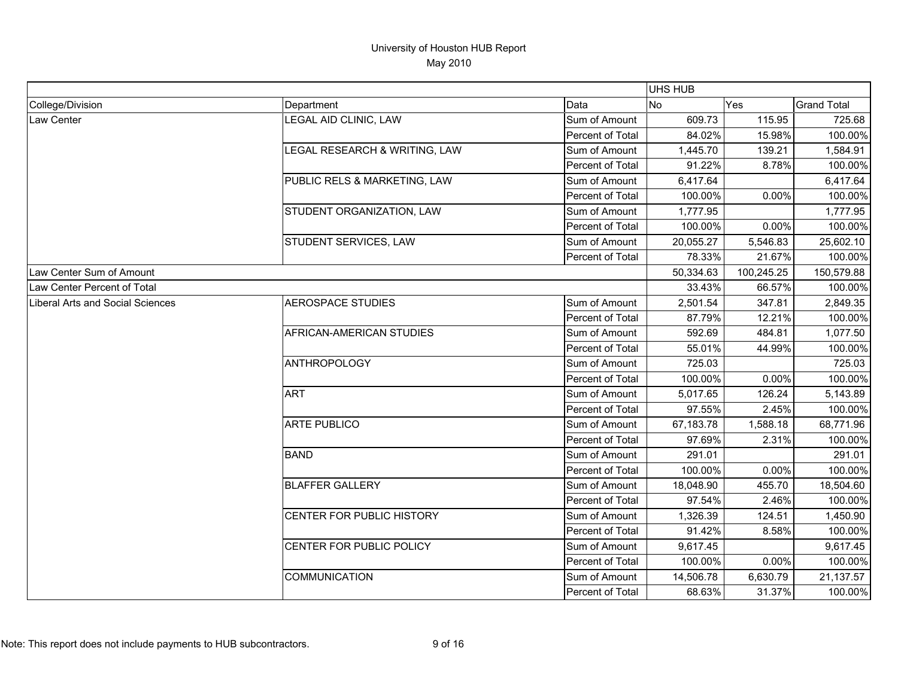|                                         |                               |                  | UHS HUB   |            |                    |
|-----------------------------------------|-------------------------------|------------------|-----------|------------|--------------------|
| College/Division                        | Department                    | Data             | No        | Yes        | <b>Grand Total</b> |
| Law Center                              | LEGAL AID CLINIC, LAW         | Sum of Amount    | 609.73    | 115.95     | 725.68             |
|                                         |                               | Percent of Total | 84.02%    | 15.98%     | 100.00%            |
|                                         | LEGAL RESEARCH & WRITING, LAW | Sum of Amount    | 1,445.70  | 139.21     | 1,584.91           |
|                                         |                               | Percent of Total | 91.22%    | 8.78%      | 100.00%            |
|                                         | PUBLIC RELS & MARKETING, LAW  | Sum of Amount    | 6,417.64  |            | 6,417.64           |
|                                         |                               | Percent of Total | 100.00%   | 0.00%      | 100.00%            |
|                                         | STUDENT ORGANIZATION, LAW     | Sum of Amount    | 1,777.95  |            | 1,777.95           |
|                                         |                               | Percent of Total | 100.00%   | 0.00%      | 100.00%            |
|                                         | STUDENT SERVICES, LAW         | Sum of Amount    | 20,055.27 | 5,546.83   | 25,602.10          |
|                                         |                               | Percent of Total | 78.33%    | 21.67%     | 100.00%            |
| Law Center Sum of Amount                |                               |                  | 50,334.63 | 100,245.25 | 150,579.88         |
| Law Center Percent of Total             |                               |                  | 33.43%    | 66.57%     | 100.00%            |
| <b>Liberal Arts and Social Sciences</b> | <b>AEROSPACE STUDIES</b>      | Sum of Amount    | 2,501.54  | 347.81     | 2,849.35           |
|                                         |                               | Percent of Total | 87.79%    | 12.21%     | 100.00%            |
|                                         | AFRICAN-AMERICAN STUDIES      | Sum of Amount    | 592.69    | 484.81     | 1,077.50           |
|                                         |                               | Percent of Total | 55.01%    | 44.99%     | 100.00%            |
|                                         | <b>ANTHROPOLOGY</b>           | Sum of Amount    | 725.03    |            | 725.03             |
|                                         |                               | Percent of Total | 100.00%   | 0.00%      | 100.00%            |
|                                         | <b>ART</b>                    | Sum of Amount    | 5,017.65  | 126.24     | 5,143.89           |
|                                         |                               | Percent of Total | 97.55%    | 2.45%      | 100.00%            |
|                                         | <b>ARTE PUBLICO</b>           | Sum of Amount    | 67,183.78 | 1,588.18   | 68,771.96          |
|                                         |                               | Percent of Total | 97.69%    | 2.31%      | 100.00%            |
|                                         | <b>BAND</b>                   | Sum of Amount    | 291.01    |            | 291.01             |
|                                         |                               | Percent of Total | 100.00%   | 0.00%      | 100.00%            |
|                                         | <b>BLAFFER GALLERY</b>        | Sum of Amount    | 18,048.90 | 455.70     | 18,504.60          |
|                                         |                               | Percent of Total | 97.54%    | 2.46%      | 100.00%            |
|                                         | CENTER FOR PUBLIC HISTORY     | Sum of Amount    | 1,326.39  | 124.51     | 1,450.90           |
|                                         |                               | Percent of Total | 91.42%    | 8.58%      | 100.00%            |
|                                         | CENTER FOR PUBLIC POLICY      | Sum of Amount    | 9,617.45  |            | 9,617.45           |
|                                         |                               | Percent of Total | 100.00%   | 0.00%      | 100.00%            |
|                                         | <b>COMMUNICATION</b>          | Sum of Amount    | 14,506.78 | 6,630.79   | 21,137.57          |
|                                         |                               | Percent of Total | 68.63%    | 31.37%     | 100.00%            |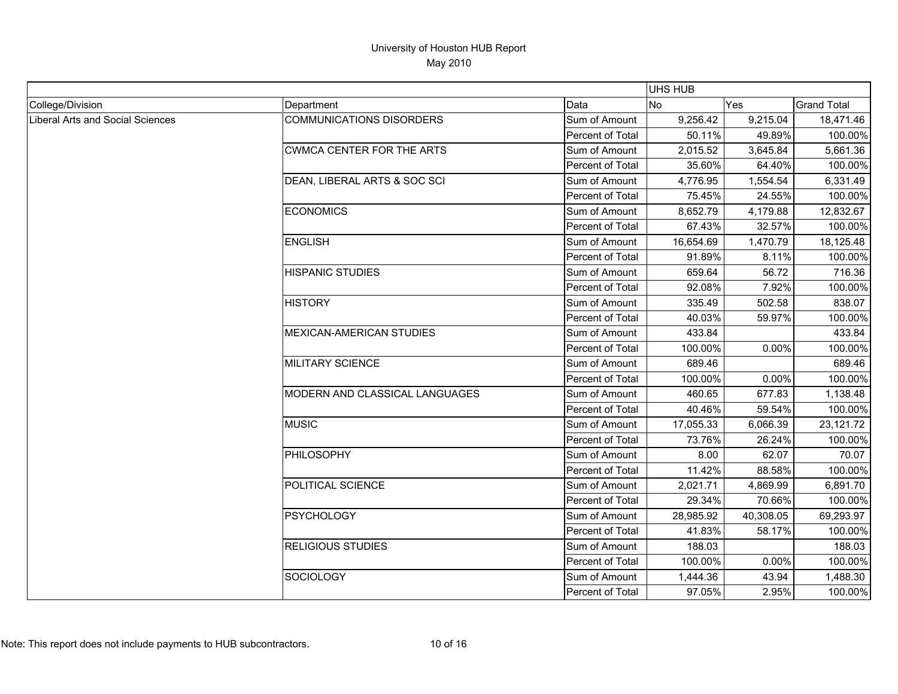|                                         |                                  |                  | <b>UHS HUB</b> |           |                    |
|-----------------------------------------|----------------------------------|------------------|----------------|-----------|--------------------|
| College/Division                        | Department                       | Data             | No             | Yes       | <b>Grand Total</b> |
| <b>Liberal Arts and Social Sciences</b> | <b>COMMUNICATIONS DISORDERS</b>  | Sum of Amount    | 9,256.42       | 9,215.04  | 18,471.46          |
|                                         |                                  | Percent of Total | 50.11%         | 49.89%    | 100.00%            |
|                                         | <b>CWMCA CENTER FOR THE ARTS</b> | Sum of Amount    | 2,015.52       | 3,645.84  | 5,661.36           |
|                                         |                                  | Percent of Total | 35.60%         | 64.40%    | 100.00%            |
|                                         | DEAN, LIBERAL ARTS & SOC SCI     | Sum of Amount    | 4,776.95       | 1,554.54  | 6,331.49           |
|                                         |                                  | Percent of Total | 75.45%         | 24.55%    | 100.00%            |
|                                         | <b>ECONOMICS</b>                 | Sum of Amount    | 8,652.79       | 4,179.88  | 12,832.67          |
|                                         |                                  | Percent of Total | 67.43%         | 32.57%    | 100.00%            |
|                                         | <b>ENGLISH</b>                   | Sum of Amount    | 16,654.69      | 1,470.79  | 18,125.48          |
|                                         |                                  | Percent of Total | 91.89%         | 8.11%     | 100.00%            |
|                                         | <b>HISPANIC STUDIES</b>          | Sum of Amount    | 659.64         | 56.72     | 716.36             |
|                                         |                                  | Percent of Total | 92.08%         | 7.92%     | 100.00%            |
|                                         | <b>HISTORY</b>                   | Sum of Amount    | 335.49         | 502.58    | 838.07             |
|                                         |                                  | Percent of Total | 40.03%         | 59.97%    | 100.00%            |
|                                         | <b>MEXICAN-AMERICAN STUDIES</b>  | Sum of Amount    | 433.84         |           | 433.84             |
|                                         |                                  | Percent of Total | 100.00%        | 0.00%     | 100.00%            |
|                                         | <b>MILITARY SCIENCE</b>          | Sum of Amount    | 689.46         |           | 689.46             |
|                                         |                                  | Percent of Total | 100.00%        | 0.00%     | 100.00%            |
|                                         | MODERN AND CLASSICAL LANGUAGES   | Sum of Amount    | 460.65         | 677.83    | 1,138.48           |
|                                         |                                  | Percent of Total | 40.46%         | 59.54%    | 100.00%            |
|                                         | <b>MUSIC</b>                     | Sum of Amount    | 17,055.33      | 6,066.39  | 23,121.72          |
|                                         |                                  | Percent of Total | 73.76%         | 26.24%    | 100.00%            |
|                                         | PHILOSOPHY                       | Sum of Amount    | 8.00           | 62.07     | 70.07              |
|                                         |                                  | Percent of Total | 11.42%         | 88.58%    | 100.00%            |
|                                         | POLITICAL SCIENCE                | Sum of Amount    | 2,021.71       | 4,869.99  | 6,891.70           |
|                                         |                                  | Percent of Total | 29.34%         | 70.66%    | 100.00%            |
|                                         | <b>PSYCHOLOGY</b>                | Sum of Amount    | 28,985.92      | 40,308.05 | 69,293.97          |
|                                         |                                  | Percent of Total | 41.83%         | 58.17%    | 100.00%            |
|                                         | <b>RELIGIOUS STUDIES</b>         | Sum of Amount    | 188.03         |           | 188.03             |
|                                         |                                  | Percent of Total | 100.00%        | 0.00%     | 100.00%            |
|                                         | SOCIOLOGY                        | Sum of Amount    | 1,444.36       | 43.94     | 1,488.30           |
|                                         |                                  | Percent of Total | 97.05%         | 2.95%     | 100.00%            |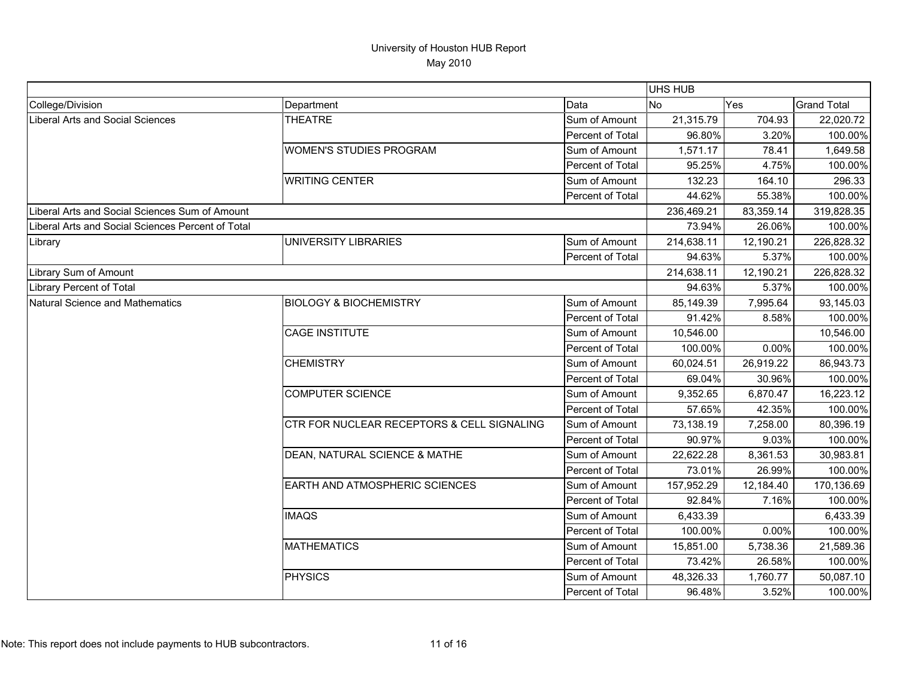|                                                   |                                            |                         | UHS HUB    |            |                    |
|---------------------------------------------------|--------------------------------------------|-------------------------|------------|------------|--------------------|
| College/Division                                  | Department                                 | Data                    | <b>No</b>  | <b>Yes</b> | <b>Grand Total</b> |
| <b>Liberal Arts and Social Sciences</b>           | <b>THEATRE</b>                             | Sum of Amount           | 21,315.79  | 704.93     | 22,020.72          |
|                                                   |                                            | Percent of Total        | 96.80%     | 3.20%      | 100.00%            |
|                                                   | <b>WOMEN'S STUDIES PROGRAM</b>             | Sum of Amount           | 1,571.17   | 78.41      | 1,649.58           |
|                                                   |                                            | Percent of Total        | 95.25%     | 4.75%      | 100.00%            |
|                                                   | <b>WRITING CENTER</b>                      | Sum of Amount           | 132.23     | 164.10     | 296.33             |
|                                                   |                                            | Percent of Total        | 44.62%     | 55.38%     | 100.00%            |
| Liberal Arts and Social Sciences Sum of Amount    |                                            |                         | 236,469.21 | 83,359.14  | 319,828.35         |
| Liberal Arts and Social Sciences Percent of Total |                                            |                         | 73.94%     | 26.06%     | 100.00%            |
| Library                                           | UNIVERSITY LIBRARIES                       | Sum of Amount           | 214,638.11 | 12,190.21  | 226,828.32         |
|                                                   |                                            | Percent of Total        | 94.63%     | 5.37%      | 100.00%            |
| Library Sum of Amount                             |                                            |                         | 214,638.11 | 12,190.21  | 226,828.32         |
| Library Percent of Total                          |                                            |                         | 94.63%     | 5.37%      | 100.00%            |
| Natural Science and Mathematics                   | <b>BIOLOGY &amp; BIOCHEMISTRY</b>          | Sum of Amount           | 85,149.39  | 7,995.64   | 93,145.03          |
|                                                   |                                            | <b>Percent of Total</b> | 91.42%     | 8.58%      | 100.00%            |
|                                                   | <b>CAGE INSTITUTE</b>                      | Sum of Amount           | 10,546.00  |            | 10,546.00          |
|                                                   |                                            | Percent of Total        | 100.00%    | 0.00%      | 100.00%            |
|                                                   | <b>CHEMISTRY</b>                           | Sum of Amount           | 60,024.51  | 26,919.22  | 86,943.73          |
|                                                   |                                            | Percent of Total        | 69.04%     | 30.96%     | 100.00%            |
|                                                   | <b>COMPUTER SCIENCE</b>                    | Sum of Amount           | 9,352.65   | 6,870.47   | 16,223.12          |
|                                                   |                                            | Percent of Total        | 57.65%     | 42.35%     | 100.00%            |
|                                                   | CTR FOR NUCLEAR RECEPTORS & CELL SIGNALING | Sum of Amount           | 73,138.19  | 7,258.00   | 80,396.19          |
|                                                   |                                            | Percent of Total        | 90.97%     | 9.03%      | 100.00%            |
|                                                   | DEAN, NATURAL SCIENCE & MATHE              | Sum of Amount           | 22,622.28  | 8,361.53   | 30,983.81          |
|                                                   |                                            | Percent of Total        | 73.01%     | 26.99%     | 100.00%            |
|                                                   | EARTH AND ATMOSPHERIC SCIENCES             | Sum of Amount           | 157,952.29 | 12,184.40  | 170,136.69         |
|                                                   |                                            | Percent of Total        | 92.84%     | 7.16%      | 100.00%            |
|                                                   | <b>IMAQS</b>                               | Sum of Amount           | 6,433.39   |            | 6,433.39           |
|                                                   |                                            | <b>Percent of Total</b> | 100.00%    | 0.00%      | 100.00%            |
|                                                   | <b>MATHEMATICS</b>                         | Sum of Amount           | 15,851.00  | 5,738.36   | 21,589.36          |
|                                                   |                                            | Percent of Total        | 73.42%     | 26.58%     | 100.00%            |
|                                                   | <b>PHYSICS</b>                             | Sum of Amount           | 48,326.33  | 1,760.77   | 50,087.10          |
|                                                   |                                            | Percent of Total        | 96.48%     | 3.52%      | 100.00%            |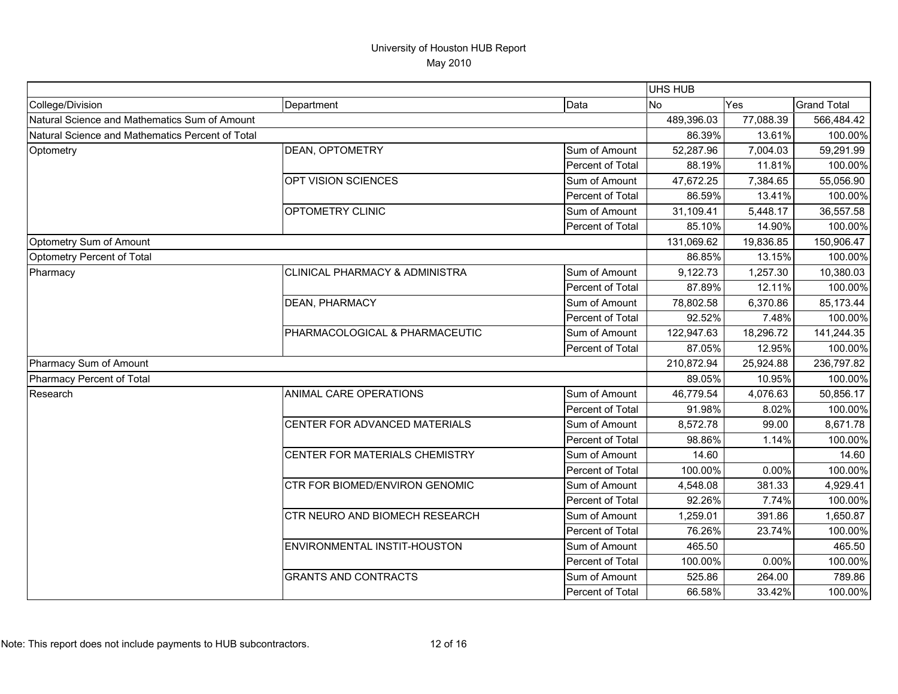|                                                  |                                |                         | <b>UHS HUB</b> |           |                    |
|--------------------------------------------------|--------------------------------|-------------------------|----------------|-----------|--------------------|
| College/Division                                 | Department                     | Data                    | N <sub>o</sub> | Yes       | <b>Grand Total</b> |
| Natural Science and Mathematics Sum of Amount    |                                |                         | 489,396.03     | 77,088.39 | 566,484.42         |
| Natural Science and Mathematics Percent of Total |                                |                         | 86.39%         | 13.61%    | 100.00%            |
| Optometry                                        | DEAN, OPTOMETRY                | Sum of Amount           | 52,287.96      | 7,004.03  | 59,291.99          |
|                                                  |                                | Percent of Total        | 88.19%         | 11.81%    | 100.00%            |
|                                                  | OPT VISION SCIENCES            | Sum of Amount           | 47,672.25      | 7,384.65  | 55,056.90          |
|                                                  |                                | Percent of Total        | 86.59%         | 13.41%    | 100.00%            |
|                                                  | OPTOMETRY CLINIC               | Sum of Amount           | 31,109.41      | 5,448.17  | 36,557.58          |
|                                                  |                                | <b>Percent of Total</b> | 85.10%         | 14.90%    | 100.00%            |
| Optometry Sum of Amount                          |                                |                         | 131,069.62     | 19,836.85 | 150,906.47         |
| Optometry Percent of Total                       |                                |                         | 86.85%         | 13.15%    | 100.00%            |
| Pharmacy                                         | CLINICAL PHARMACY & ADMINISTRA | Sum of Amount           | 9,122.73       | 1,257.30  | 10,380.03          |
|                                                  |                                | Percent of Total        | 87.89%         | 12.11%    | 100.00%            |
|                                                  | DEAN, PHARMACY                 | Sum of Amount           | 78,802.58      | 6,370.86  | 85,173.44          |
|                                                  |                                | Percent of Total        | 92.52%         | 7.48%     | 100.00%            |
|                                                  | PHARMACOLOGICAL & PHARMACEUTIC | Sum of Amount           | 122,947.63     | 18,296.72 | 141,244.35         |
|                                                  |                                | Percent of Total        | 87.05%         | 12.95%    | 100.00%            |
| Pharmacy Sum of Amount                           |                                |                         | 210,872.94     | 25,924.88 | 236,797.82         |
| Pharmacy Percent of Total                        |                                |                         | 89.05%         | 10.95%    | 100.00%            |
| Research                                         | ANIMAL CARE OPERATIONS         | Sum of Amount           | 46,779.54      | 4,076.63  | 50,856.17          |
|                                                  |                                | Percent of Total        | 91.98%         | 8.02%     | 100.00%            |
|                                                  | CENTER FOR ADVANCED MATERIALS  | Sum of Amount           | 8,572.78       | 99.00     | 8,671.78           |
|                                                  |                                | Percent of Total        | 98.86%         | 1.14%     | 100.00%            |
|                                                  | CENTER FOR MATERIALS CHEMISTRY | Sum of Amount           | 14.60          |           | 14.60              |
|                                                  |                                | Percent of Total        | 100.00%        | 0.00%     | 100.00%            |
|                                                  | CTR FOR BIOMED/ENVIRON GENOMIC | Sum of Amount           | 4,548.08       | 381.33    | 4,929.41           |
|                                                  |                                | Percent of Total        | 92.26%         | 7.74%     | 100.00%            |
|                                                  | CTR NEURO AND BIOMECH RESEARCH | Sum of Amount           | 1,259.01       | 391.86    | 1,650.87           |
|                                                  |                                | Percent of Total        | 76.26%         | 23.74%    | 100.00%            |
|                                                  | ENVIRONMENTAL INSTIT-HOUSTON   | Sum of Amount           | 465.50         |           | 465.50             |
|                                                  |                                | Percent of Total        | 100.00%        | 0.00%     | 100.00%            |
|                                                  | <b>GRANTS AND CONTRACTS</b>    | Sum of Amount           | 525.86         | 264.00    | 789.86             |
|                                                  |                                | Percent of Total        | 66.58%         | 33.42%    | 100.00%            |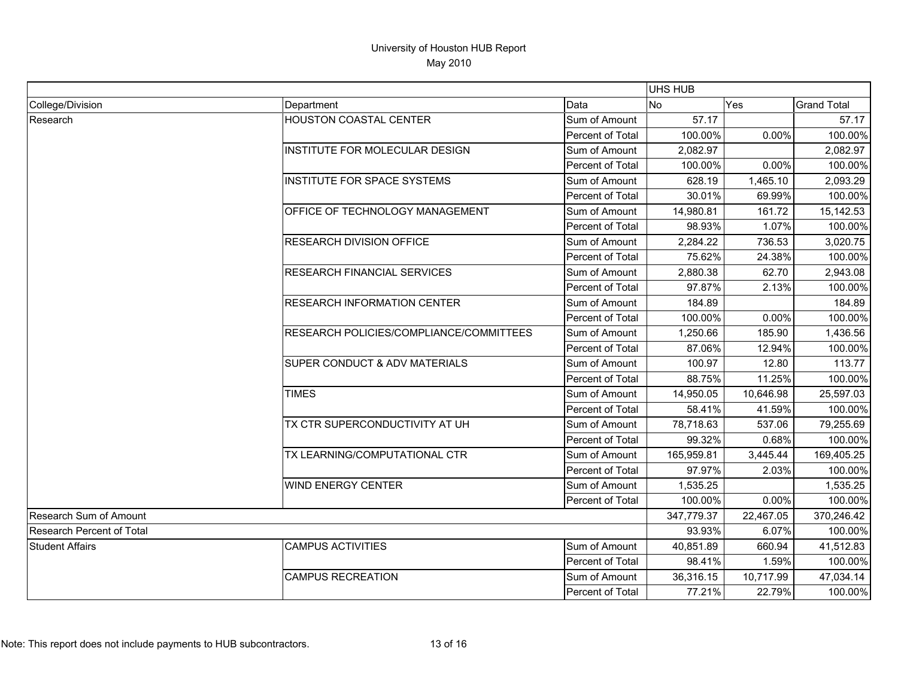|                                  |                                          |                  | <b>UHS HUB</b> |            |                    |
|----------------------------------|------------------------------------------|------------------|----------------|------------|--------------------|
| College/Division                 | Department                               | Data             | <b>No</b>      | Yes        | <b>Grand Total</b> |
| Research                         | <b>HOUSTON COASTAL CENTER</b>            | Sum of Amount    | 57.17          |            | 57.17              |
|                                  |                                          | Percent of Total | 100.00%        | 0.00%      | 100.00%            |
|                                  | <b>INSTITUTE FOR MOLECULAR DESIGN</b>    | Sum of Amount    | 2,082.97       |            | 2,082.97           |
|                                  |                                          | Percent of Total | 100.00%        | 0.00%      | 100.00%            |
|                                  | <b>INSTITUTE FOR SPACE SYSTEMS</b>       | Sum of Amount    | 628.19         | 1,465.10   | 2,093.29           |
|                                  |                                          | Percent of Total | 30.01%         | 69.99%     | 100.00%            |
|                                  | OFFICE OF TECHNOLOGY MANAGEMENT          | Sum of Amount    | 14,980.81      | 161.72     | 15,142.53          |
|                                  |                                          | Percent of Total | 98.93%         | 1.07%      | 100.00%            |
|                                  | <b>RESEARCH DIVISION OFFICE</b>          | Sum of Amount    | 2,284.22       | 736.53     | 3,020.75           |
|                                  |                                          | Percent of Total | 75.62%         | 24.38%     | 100.00%            |
|                                  | <b>RESEARCH FINANCIAL SERVICES</b>       | Sum of Amount    | 2,880.38       | 62.70      | 2,943.08           |
|                                  |                                          | Percent of Total | 97.87%         | 2.13%      | 100.00%            |
|                                  | <b>RESEARCH INFORMATION CENTER</b>       | Sum of Amount    | 184.89         |            | 184.89             |
|                                  |                                          | Percent of Total | 100.00%        | 0.00%      | 100.00%            |
|                                  | RESEARCH POLICIES/COMPLIANCE/COMMITTEES  | Sum of Amount    | 1,250.66       | 185.90     | 1,436.56           |
|                                  |                                          | Percent of Total | 87.06%         | 12.94%     | 100.00%            |
|                                  | <b>SUPER CONDUCT &amp; ADV MATERIALS</b> | Sum of Amount    | 100.97         | 12.80      | 113.77             |
|                                  |                                          | Percent of Total | 88.75%         | 11.25%     | 100.00%            |
|                                  | <b>TIMES</b>                             | Sum of Amount    | 14,950.05      | 10,646.98  | 25,597.03          |
|                                  |                                          | Percent of Total | 58.41%         | 41.59%     | 100.00%            |
|                                  | TX CTR SUPERCONDUCTIVITY AT UH           | Sum of Amount    | 78,718.63      | 537.06     | 79,255.69          |
|                                  |                                          | Percent of Total | 99.32%         | 0.68%      | 100.00%            |
|                                  | TX LEARNING/COMPUTATIONAL CTR            | Sum of Amount    | 165,959.81     | 3,445.44   | 169,405.25         |
|                                  |                                          | Percent of Total | 97.97%         | 2.03%      | 100.00%            |
|                                  | <b>WIND ENERGY CENTER</b>                | Sum of Amount    | 1,535.25       |            | 1,535.25           |
|                                  |                                          | Percent of Total | 100.00%        | 0.00%      | 100.00%            |
| Research Sum of Amount           |                                          | 347,779.37       | 22,467.05      | 370,246.42 |                    |
| <b>Research Percent of Total</b> |                                          | 93.93%           | 6.07%          | 100.00%    |                    |
| <b>Student Affairs</b>           | <b>CAMPUS ACTIVITIES</b>                 | Sum of Amount    | 40,851.89      | 660.94     | 41,512.83          |
|                                  |                                          | Percent of Total | 98.41%         | 1.59%      | 100.00%            |
|                                  | <b>CAMPUS RECREATION</b>                 | Sum of Amount    | 36,316.15      | 10,717.99  | 47,034.14          |
|                                  |                                          | Percent of Total | 77.21%         | 22.79%     | 100.00%            |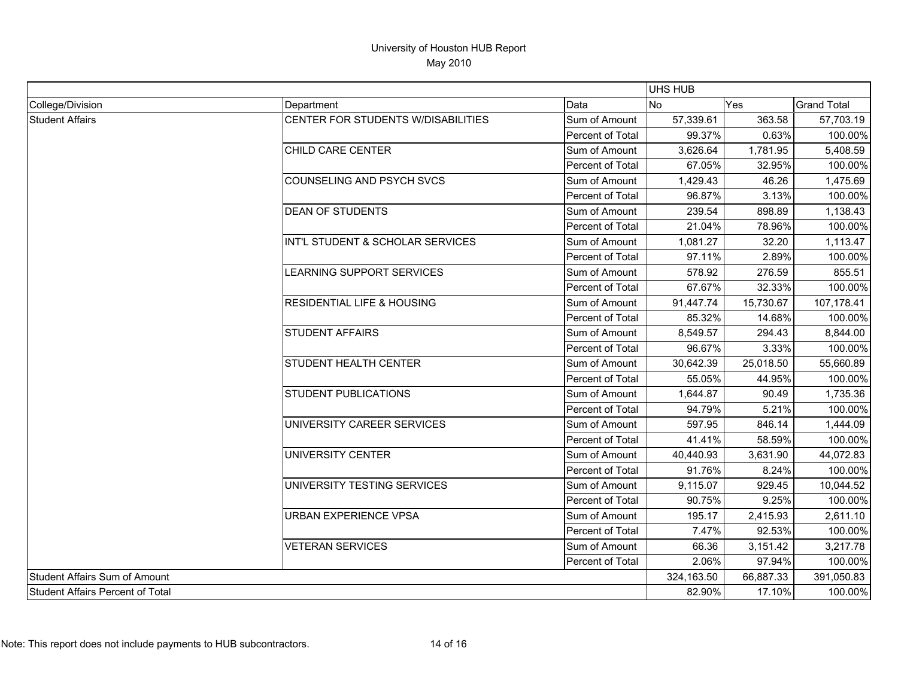|                                  |                                       |                  |           |            | UHS HUB            |  |  |
|----------------------------------|---------------------------------------|------------------|-----------|------------|--------------------|--|--|
| College/Division                 | Department                            | Data             | <b>No</b> | Yes        | <b>Grand Total</b> |  |  |
| <b>Student Affairs</b>           | CENTER FOR STUDENTS W/DISABILITIES    | Sum of Amount    | 57,339.61 | 363.58     | 57,703.19          |  |  |
|                                  |                                       | Percent of Total | 99.37%    | 0.63%      | 100.00%            |  |  |
|                                  | CHILD CARE CENTER                     | Sum of Amount    | 3,626.64  | 1,781.95   | 5,408.59           |  |  |
|                                  |                                       | Percent of Total | 67.05%    | 32.95%     | 100.00%            |  |  |
|                                  | COUNSELING AND PSYCH SVCS             | Sum of Amount    | 1,429.43  | 46.26      | 1,475.69           |  |  |
|                                  |                                       | Percent of Total | 96.87%    | 3.13%      | 100.00%            |  |  |
|                                  | <b>DEAN OF STUDENTS</b>               | Sum of Amount    | 239.54    | 898.89     | 1,138.43           |  |  |
|                                  |                                       | Percent of Total | 21.04%    | 78.96%     | 100.00%            |  |  |
|                                  | INT'L STUDENT & SCHOLAR SERVICES      | Sum of Amount    | 1,081.27  | 32.20      | 1,113.47           |  |  |
|                                  |                                       | Percent of Total | 97.11%    | 2.89%      | 100.00%            |  |  |
|                                  | LEARNING SUPPORT SERVICES             | Sum of Amount    | 578.92    | 276.59     | 855.51             |  |  |
|                                  |                                       | Percent of Total | 67.67%    | 32.33%     | 100.00%            |  |  |
|                                  | <b>RESIDENTIAL LIFE &amp; HOUSING</b> | Sum of Amount    | 91,447.74 | 15,730.67  | 107,178.41         |  |  |
|                                  |                                       | Percent of Total | 85.32%    | 14.68%     | 100.00%            |  |  |
|                                  | <b>STUDENT AFFAIRS</b>                | Sum of Amount    | 8,549.57  | 294.43     | 8,844.00           |  |  |
|                                  |                                       | Percent of Total | 96.67%    | 3.33%      | 100.00%            |  |  |
|                                  | <b>STUDENT HEALTH CENTER</b>          | Sum of Amount    | 30,642.39 | 25,018.50  | 55,660.89          |  |  |
|                                  |                                       | Percent of Total | 55.05%    | 44.95%     | 100.00%            |  |  |
|                                  | <b>STUDENT PUBLICATIONS</b>           | Sum of Amount    | 1,644.87  | 90.49      | 1,735.36           |  |  |
|                                  |                                       | Percent of Total | 94.79%    | 5.21%      | 100.00%            |  |  |
|                                  | UNIVERSITY CAREER SERVICES            | Sum of Amount    | 597.95    | 846.14     | 1,444.09           |  |  |
|                                  |                                       | Percent of Total | 41.41%    | 58.59%     | 100.00%            |  |  |
|                                  | UNIVERSITY CENTER                     | Sum of Amount    | 40,440.93 | 3,631.90   | 44,072.83          |  |  |
|                                  |                                       | Percent of Total | 91.76%    | 8.24%      | 100.00%            |  |  |
|                                  | UNIVERSITY TESTING SERVICES           | Sum of Amount    | 9,115.07  | 929.45     | 10,044.52          |  |  |
|                                  |                                       | Percent of Total | 90.75%    | 9.25%      | 100.00%            |  |  |
|                                  | URBAN EXPERIENCE VPSA                 | Sum of Amount    | 195.17    | 2,415.93   | 2,611.10           |  |  |
|                                  |                                       | Percent of Total | 7.47%     | 92.53%     | 100.00%            |  |  |
|                                  | <b>VETERAN SERVICES</b>               | Sum of Amount    | 66.36     | 3,151.42   | 3,217.78           |  |  |
|                                  |                                       | Percent of Total | 2.06%     | 97.94%     | 100.00%            |  |  |
| Student Affairs Sum of Amount    |                                       | 324,163.50       | 66,887.33 | 391,050.83 |                    |  |  |
| Student Affairs Percent of Total |                                       | 82.90%           | 17.10%    | 100.00%    |                    |  |  |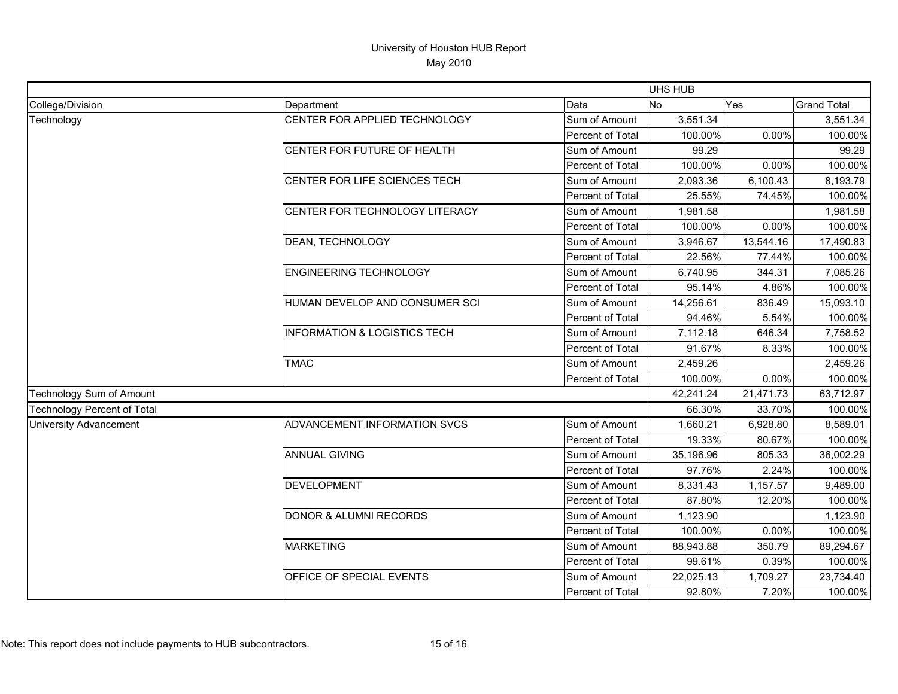|                                    |                                         |                  | UHS HUB   |           |                    |
|------------------------------------|-----------------------------------------|------------------|-----------|-----------|--------------------|
| College/Division                   | Department                              | Data             | <b>No</b> | Yes       | <b>Grand Total</b> |
| Technology                         | CENTER FOR APPLIED TECHNOLOGY           | Sum of Amount    | 3,551.34  |           | 3,551.34           |
|                                    |                                         | Percent of Total | 100.00%   | 0.00%     | 100.00%            |
|                                    | CENTER FOR FUTURE OF HEALTH             | Sum of Amount    | 99.29     |           | 99.29              |
|                                    |                                         | Percent of Total | 100.00%   | 0.00%     | 100.00%            |
|                                    | CENTER FOR LIFE SCIENCES TECH           | Sum of Amount    | 2,093.36  | 6,100.43  | 8,193.79           |
|                                    |                                         | Percent of Total | 25.55%    | 74.45%    | 100.00%            |
|                                    | CENTER FOR TECHNOLOGY LITERACY          | Sum of Amount    | 1,981.58  |           | 1,981.58           |
|                                    |                                         | Percent of Total | 100.00%   | 0.00%     | 100.00%            |
|                                    | <b>DEAN, TECHNOLOGY</b>                 | Sum of Amount    | 3,946.67  | 13,544.16 | 17,490.83          |
|                                    |                                         | Percent of Total | 22.56%    | 77.44%    | 100.00%            |
|                                    | <b>ENGINEERING TECHNOLOGY</b>           | Sum of Amount    | 6,740.95  | 344.31    | 7,085.26           |
|                                    |                                         | Percent of Total | 95.14%    | 4.86%     | 100.00%            |
|                                    | HUMAN DEVELOP AND CONSUMER SCI          | Sum of Amount    | 14,256.61 | 836.49    | 15,093.10          |
|                                    |                                         | Percent of Total | 94.46%    | 5.54%     | 100.00%            |
|                                    | <b>INFORMATION &amp; LOGISTICS TECH</b> | Sum of Amount    | 7,112.18  | 646.34    | 7,758.52           |
|                                    |                                         | Percent of Total | 91.67%    | 8.33%     | 100.00%            |
|                                    | <b>TMAC</b>                             | Sum of Amount    | 2,459.26  |           | 2,459.26           |
|                                    |                                         | Percent of Total | 100.00%   | 0.00%     | 100.00%            |
| Technology Sum of Amount           |                                         |                  | 42,241.24 | 21,471.73 | 63,712.97          |
| <b>Technology Percent of Total</b> |                                         |                  | 66.30%    | 33.70%    | 100.00%            |
| <b>University Advancement</b>      | ADVANCEMENT INFORMATION SVCS            | Sum of Amount    | 1,660.21  | 6,928.80  | 8,589.01           |
|                                    |                                         | Percent of Total | 19.33%    | 80.67%    | 100.00%            |
|                                    | <b>ANNUAL GIVING</b>                    | Sum of Amount    | 35,196.96 | 805.33    | 36,002.29          |
|                                    |                                         | Percent of Total | 97.76%    | 2.24%     | 100.00%            |
|                                    | <b>DEVELOPMENT</b>                      | Sum of Amount    | 8,331.43  | 1,157.57  | 9,489.00           |
|                                    |                                         | Percent of Total | 87.80%    | 12.20%    | 100.00%            |
|                                    | <b>DONOR &amp; ALUMNI RECORDS</b>       | Sum of Amount    | 1,123.90  |           | 1,123.90           |
|                                    |                                         | Percent of Total | 100.00%   | 0.00%     | 100.00%            |
|                                    | <b>MARKETING</b>                        | Sum of Amount    | 88,943.88 | 350.79    | 89,294.67          |
|                                    |                                         | Percent of Total | 99.61%    | 0.39%     | 100.00%            |
|                                    | OFFICE OF SPECIAL EVENTS                | Sum of Amount    | 22,025.13 | 1,709.27  | 23,734.40          |
|                                    |                                         | Percent of Total | 92.80%    | 7.20%     | 100.00%            |